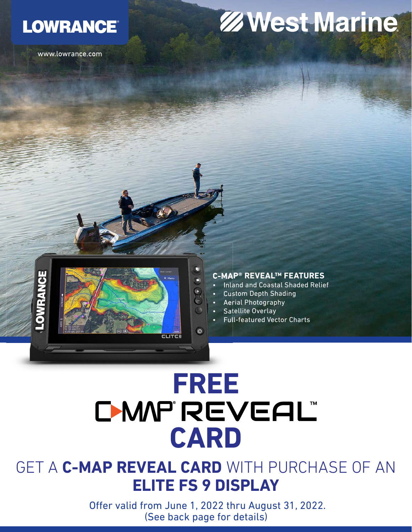## **LOWRANCE®**

www.lowrance.com

## **ZWest Marine**



#### **C-MAP® REVEAL™ FEATURES**

- Inland and Coastal Shaded Relief
- Custom Depth Shading
- Aerial Photography
- Satellite Overlay
- Full-featured Vector Charts

# FREE<br>D-MAP'REVEAL **CARD**

 $\circ$ 

EL ITER

### GET A **C-MAP REVEAL CARD** WITH PURCHASE OF AN **ELITE FS 9 DISPLAY**

Offer valid from June 1, 2022 thru August 31, 2022. (See back page for details)